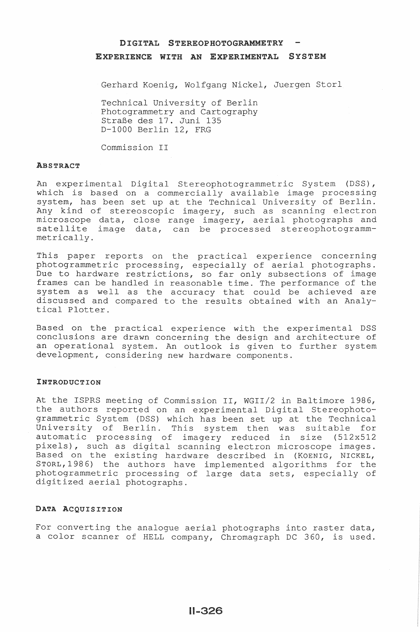# DIGITAL S TEREOPHOTOGRAMMETRY

### EXPERIENCE WITH AN EXPERIMENTAL SYSTEM

Gerhard Koenig, Wolfgang Nickel, Juergen Storl

Technical University of Berlin Photogrammetry and Cartography StraBe des 17. Juni 135 D-1000 Berlin 12, FRG

Commission II

#### **ABSTRACT**

An experimental Digital Stereophotogrammetric System (DSS), which is based on a commercially available image processing system, has been set up at the Technical University of Berlin. Any kind of stereoscopic imagery, such as scanning electron microscope data, close range imagery, aerial photographs and satellite image data, can be processed stereophotogrammmetrically.

This paper reports on the practical experience concerning photogrammetric processing, especially of aerial photographs. Due to hardware restrictions, so far only subsections of image frames can be handled in reasonable time. The performance of the system as well as the accuracy that could be achieved are discussed and compared to the results obtained with an Analytical Plotter.

Based on the practical experience with the experimental DSS conclusions are drawn concerning the design and architecture of an operational system. An outlook is given to further system development, considering new hardware components.

### INTRODUCTION

At the ISPRS meeting of Commission II, WGII/2 in Baltimore 1986, the authors reported on an experimental Digital Stereophotogrammetric System (DSS) which has been set up at the Technical University of Berlin. This system then was suitable for automatic processing of imagery reduced in size (512x512 pixels), such as digital scanning electron microscope images. Based on the existing hardware described in (KOENIG, NICKEL, STORL, 1986) the authors have implemented algorithms for the photogrammetric processing of large data sets, especially of digitized aerial photographs.

## DATA ACQUISITION

For converting the analogue aerial photographs into raster data, a color scanner of HELL company, Chromagraph DC 360, is used.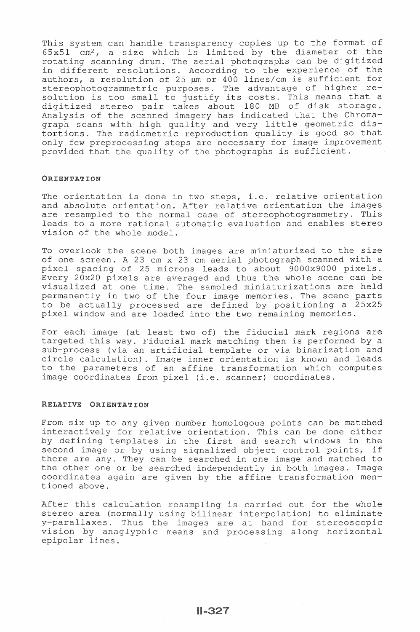This system can handle transparency copies up to the format of  $65x51$  cm<sup>2</sup>, a size which is limited by the diameter of the rotating scanning drum. The aerial photographs can be digitized in different resolutions. According to the experience of the and all product the contractions. However, we can compone the contract of the authors, a resolution of 25  $\mu$ m or 400 lines/cm is sufficient for stereophotogrammetric purposes. The advantage of higher rescoreophocogrammetric parposes: The advancage or higher is borderon is too small to justify its occes. This moment can be Analysis of the scanned imagery has indicated that the Chromagraph scans with high quality and very little geometric distortions. The radiometric reproduction quality is good so that only few preprocessing steps are necessary for image improvement provided that the quality of the photographs is sufficient.

### ORIENTATION

The orientation is done in two steps, i.e. relative orientation and absolute orientation. After relative orientation the images are resampled to the normal case of stereophotogrammetry. This leads to a more rational automatic evaluation and enables stereo vision of the whole model.

To overlook the scene both images are miniaturized to the size of one screen. A 23 cm x 23 cm aerial photograph scanned with a pixel spacing of 25 microns leads to about 9000x9000 pixels. Every 20x20 pixels are averaged and thus the whole scene can be visualized at one time. The sampled miniaturizations are held permanently in two of the four image memories. The scene parts to be actually processed are defined by positioning a 25x25 pixel window and are loaded into the two remaining memories.

For each image (at least two of) the fiducial mark regions are targeted this way. Fiducial mark matching then is performed by a sub-process (via an artificial template or via binarization and circle calculation). Image inner orientation is known and leads to the parameters of an affine transformation which computes image coordinates from pixel (i.e. scanner) coordinates.

## RELATIVE ORIENTATION

From six up to any given number homologous points can be matched interactively for relative orientation. This can be done either by defining templates in the first and search windows in the second image or by using signalized object control points, if there are any. They can be searched in one image and matched to the other one or be searched independently in both images. Image coordinates again are given by the affine transformation mentioned above.

After this calculation resampling is carried out for the whole stereo area (normally using bilinear interpolation) to eliminate y-parallaxes. Thus the images are at hand for stereoscopic vision by anaglyphic means and processing along horizontal epipolar lines.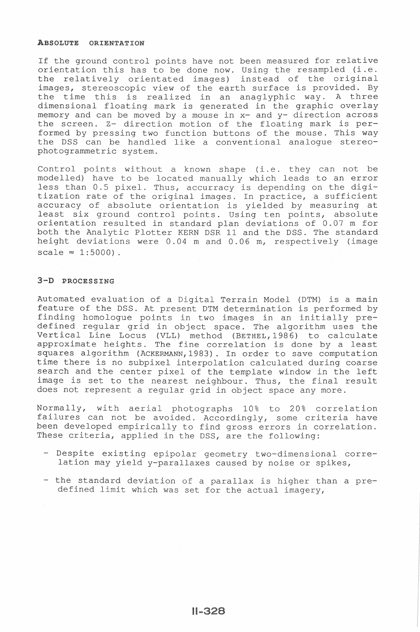#### ABSOLUTE ORIENTAT

If the ground control points have not been measured for relative orientation this has to be done now. Using the resampled (i.e. the relatively orientated images) instead of the original images, stereoscopic view of the earth surface is the time this is realized in an anaglyphic way. A three dimensional floating mark is generated in the memory and can be moved by a mouse in  $x-$  and  $y-$  direction across the screen. Z- direction motion of the floating mark is performed by pressing two function buttons of the mouse. This way the DSS can be handled like a conventional analogue stereo-<br>photogrammetric system.

Control points without a known shape (i.e. they can not be modelled) have to be located manually which leads to an error less than 0.5 pixel. Thus, accurracy is depending on the digitization rate of the original images. In practice, a sufficient accuracy of absolute orientation is yielded by measuring at least six ground control points. Using ten points, absolute orientation resulted in standard plan deviations of 0.07 m for both the Analytic Plotter KERN DSR 11 and the DSS. The standard height deviations were  $0.04$  m and  $0.06$  m, respectively (image scale  $\approx$  1:5000).

### 3-D PROCESSING

Automated evaluation of a Digital Terrain Model (DTM) is a main feature of the DSS. At present DTM determination is performed by finding homologue points in two images in an initially predefined regular grid in object space. The algorithm uses the Vertical Line Locus (VLL) method (BETHEL, 1986) to calculate approximate heights. The fine correlation is done by a least squares algorithm (ACKERMANN, 1983). In order to save computation time there is no subpixel interpolation calculated during coarse search and the center pixel of the template window in the left image is set to the nearest neighbour. Thus, the final result does not represent a reqular grid in object space any more.

Normally, with aerial photographs 10% to 20% correlation failures can not be been developed These criteria, applied in the DSS, are the following: some criteria have in correlat

- Despite existing epipolar geometry explose enrolling oprporar geometry
- the standard deviation of a parallax is higher than a predefined limit which was set for the actual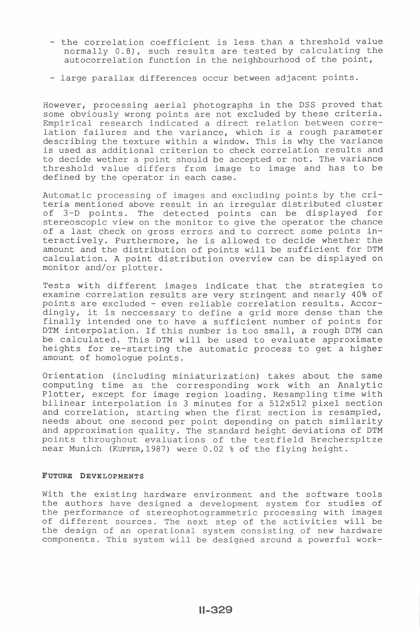- the correlation coefficient is less than a threshold value normally 0.8), such results are tested by calculating the autocorrelation function in the neighbourhood of the
- large parallax differences occur between adjacent

However, processing aerial photographs in the DSS proved that ously wrong points are not excluded by these criteria. research indicated a direct relation between correlation failures and the variance, which is a rough parameter describing the texture within a window. This is why the variance is used as additional criterion to check correlation results and<br>to decide wether a point should be accepted or not. The variance threshold value differs from image to image and has to be defined by the operator in each case.

Automatic processing of images and excluding points by the cri-<br>teria mentioned above result in an irregular distributed cluster of 3-D points. The detected points can be displayed for stereoscopic view on the monitor to give the operator the chance of a last check on gross errors and to correct some points inly. Furthermore, he is allowed to decide whether the amount and the distribution of points will be sufficient for DTM amount and the discribution of permits with go surfacence for sincle and calculation. A point distribution overview can be displayed on monitor and/or plotter.

Tests with different images indicate that the strategies to examine correlation results are very stringent and nearly 40% of points are excluded - even reliable correlation results. Accordingly, it is neccessary to define a grid more dense than the finally intended one to have a sufficient number of points for DTM interpolation. If this number is too small, a rough DTM can be calculated. This DTM will be used to evaluate approximate heights for re-starting the automatic process to get a higher amount of homologue points.

Orientation (including miniaturization) takes about the same time as the corresponding work with an Analy and correlation, starting when the first section is resampled, needs about one second and and approximation quartey. The seamatic neight deviations of 5 m near Munich (KUPFER, 1987) were 0.02 % of the flying height. Plotter, except for image region loading. Resampling time with bilinear interpolation is 3 minutes for a 512x512 pixel section

## FUTURE DEVELOPMENTS

the existing hardware environment and the software tools the authors have designed a development system for studies of the performance of stereophotogrammetric processing with images of different sources. The next step of the activities will be the design of an operational system consisting of new hardware components. This system will be designed around a powerful work-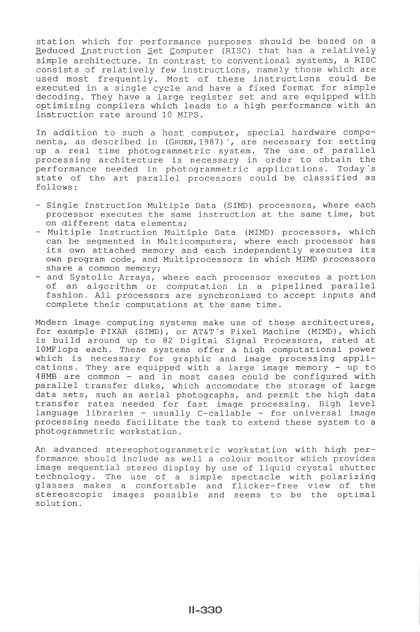station which for performance purposes should be based on a Bedefon which for porformance parposes should be based on a simple architecture. In contrast to conventional systems, a RISC consists of relatively few instructions, namely those which are used most frequently. Most of these instructions could be a single cycle and have a fixed format for s ingle cycle and have a linea form<br>have a large register set and are compilers which leads to a high performance instruction rate around 10 MIPS.

In addition to such a host computer, special hardware components, as described in (GRUEN, 1987)', are necessary for setting nonco, as according in processing architecture ric system. The use of parallel is necessary in order to obtain the processing arenteecence is necessary in craci as essain end performance needed in photogrammetric apprications. Today 3 follows:

- Instruction Multiple Data (SIMD) processors, where each processor executes the same instruction at the same time, but on different data elements;
- Multiple Instruction Multiple Data (MIMD) processors, which can be segmented in Multicomputers, where each processor has can be segmented in multicomputers, where each processor has own program code, and Multiprocessors in which MIMD processors share a common memory;
- and Systolic of an algor where each processor executes a portion ation in a pipelined parallel fashion. All processors are synchronized to accept inputs and complete their computations at the same time.

Modern image computing systems make use of these architectures, for example PIXAR (SIMD), or AT&T's Pixel Machine (MIMD), which is build around up to 82 Digital Signal Processors, rated at 10MFlops each. These systems offer a high computational power rom rope caen. These systems offer a high compactational power cations. They are equipped with a large image memory - up to 48MB are common - and in most cases could be configured with parallel transfer disks, which accomodate the storage of large data sets, such as aerial photographs, and permit the high data transfer rates needed for fast image processing. High level language libraries - usually C-callable - for universal image processing needs facilitate the task to extend these system to a photogrammetric workstation.

An advanced stereophotogrammetric workstation with high performance should include as well a colour monitor which provides sequential stereo display by use of liquid crystal shutter technology. The use of a s asses makes a comfortable stereoscopic images possible and seems to be the optimal solution. p ass of figate or poset chaose. and flicker-free view of the